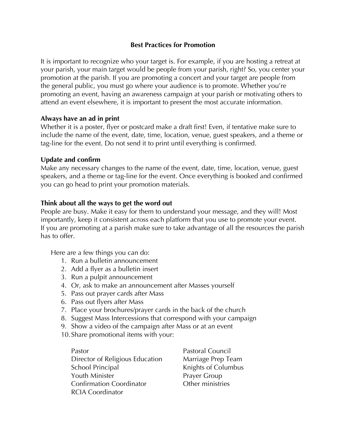# **Best Practices for Promotion**

It is important to recognize who your target is. For example, if you are hosting a retreat at your parish, your main target would be people from your parish, right? So, you center your promotion at the parish. If you are promoting a concert and your target are people from the general public, you must go where your audience is to promote. Whether you're promoting an event, having an awareness campaign at your parish or motivating others to attend an event elsewhere, it is important to present the most accurate information.

### **Always have an ad in print**

Whether it is a poster, flyer or postcard make a draft first! Even, if tentative make sure to include the name of the event, date, time, location, venue, guest speakers, and a theme or tag-line for the event. Do not send it to print until everything is confirmed.

### **Update and confirm**

Make any necessary changes to the name of the event, date, time, location, venue, guest speakers, and a theme or tag-line for the event. Once everything is booked and confirmed you can go head to print your promotion materials.

# **Think about all the ways to get the word out**

People are busy. Make it easy for them to understand your message, and they will! Most importantly, keep it consistent across each platform that you use to promote your event. If you are promoting at a parish make sure to take advantage of all the resources the parish has to offer.

Here are a few things you can do:

- 1. Run a bulletin announcement
- 2. Add a flyer as a bulletin insert
- 3. Run a pulpit announcement
- 4. Or, ask to make an announcement after Masses yourself
- 5. Pass out prayer cards after Mass
- 6. Pass out flyers after Mass
- 7. Place your brochures/prayer cards in the back of the church
- 8. Suggest Mass Intercessions that correspond with your campaign
- 9. Show a video of the campaign after Mass or at an event
- 10.Share promotional items with your:

Pastor **Pastor** Pastoral Council Director of Religious Education Marriage Prep Team School Principal Knights of Columbus Youth Minister **Prayer Group** Confirmation Coordinator **Confirmation** Coordinator **Confirmation** RCIA Coordinator